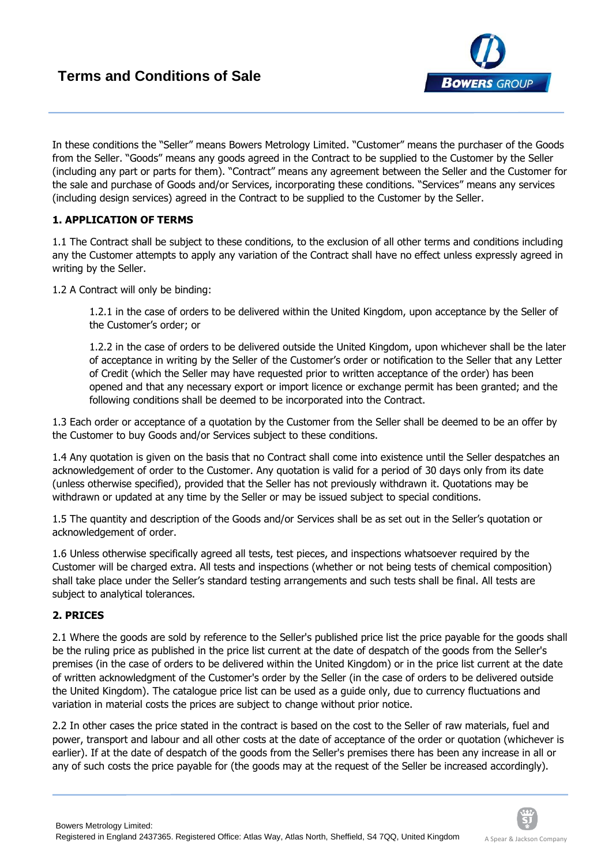

In these conditions the "Seller" means Bowers Metrology Limited. "Customer" means the purchaser of the Goods from the Seller. "Goods" means any goods agreed in the Contract to be supplied to the Customer by the Seller (including any part or parts for them). "Contract" means any agreement between the Seller and the Customer for the sale and purchase of Goods and/or Services, incorporating these conditions. "Services" means any services (including design services) agreed in the Contract to be supplied to the Customer by the Seller.

# **1. APPLICATION OF TERMS**

1.1 The Contract shall be subject to these conditions, to the exclusion of all other terms and conditions including any the Customer attempts to apply any variation of the Contract shall have no effect unless expressly agreed in writing by the Seller.

1.2 A Contract will only be binding:

1.2.1 in the case of orders to be delivered within the United Kingdom, upon acceptance by the Seller of the Customer's order; or

1.2.2 in the case of orders to be delivered outside the United Kingdom, upon whichever shall be the later of acceptance in writing by the Seller of the Customer's order or notification to the Seller that any Letter of Credit (which the Seller may have requested prior to written acceptance of the order) has been opened and that any necessary export or import licence or exchange permit has been granted; and the following conditions shall be deemed to be incorporated into the Contract.

1.3 Each order or acceptance of a quotation by the Customer from the Seller shall be deemed to be an offer by the Customer to buy Goods and/or Services subject to these conditions.

1.4 Any quotation is given on the basis that no Contract shall come into existence until the Seller despatches an acknowledgement of order to the Customer. Any quotation is valid for a period of 30 days only from its date (unless otherwise specified), provided that the Seller has not previously withdrawn it. Quotations may be withdrawn or updated at any time by the Seller or may be issued subject to special conditions.

1.5 The quantity and description of the Goods and/or Services shall be as set out in the Seller's quotation or acknowledgement of order.

1.6 Unless otherwise specifically agreed all tests, test pieces, and inspections whatsoever required by the Customer will be charged extra. All tests and inspections (whether or not being tests of chemical composition) shall take place under the Seller's standard testing arrangements and such tests shall be final. All tests are subject to analytical tolerances.

## **2. PRICES**

2.1 Where the goods are sold by reference to the Seller's published price list the price payable for the goods shall be the ruling price as published in the price list current at the date of despatch of the goods from the Seller's premises (in the case of orders to be delivered within the United Kingdom) or in the price list current at the date of written acknowledgment of the Customer's order by the Seller (in the case of orders to be delivered outside the United Kingdom). The catalogue price list can be used as a guide only, due to currency fluctuations and variation in material costs the prices are subject to change without prior notice.

2.2 In other cases the price stated in the contract is based on the cost to the Seller of raw materials, fuel and power, transport and labour and all other costs at the date of acceptance of the order or quotation (whichever is earlier). If at the date of despatch of the goods from the Seller's premises there has been any increase in all or any of such costs the price payable for (the goods may at the request of the Seller be increased accordingly).

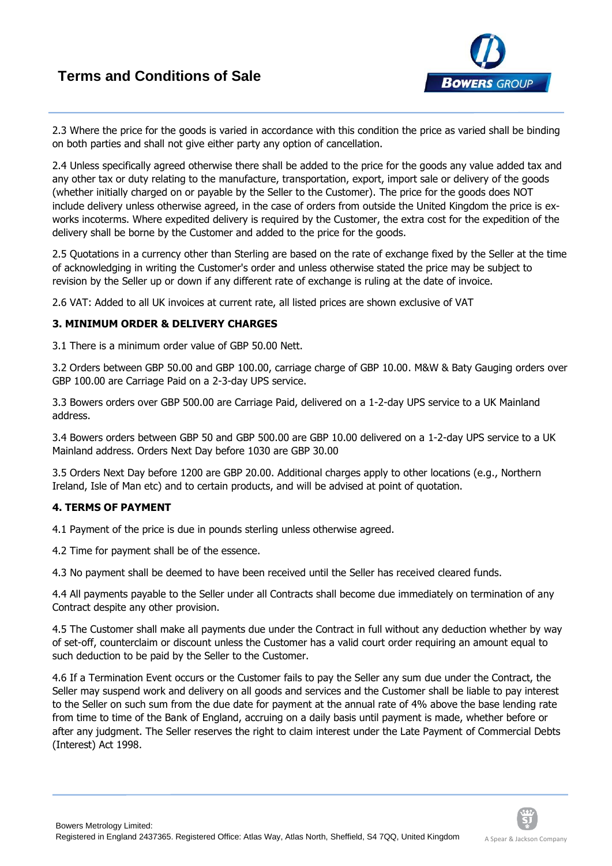

2.3 Where the price for the goods is varied in accordance with this condition the price as varied shall be binding on both parties and shall not give either party any option of cancellation.

2.4 Unless specifically agreed otherwise there shall be added to the price for the goods any value added tax and any other tax or duty relating to the manufacture, transportation, export, import sale or delivery of the goods (whether initially charged on or payable by the Seller to the Customer). The price for the goods does NOT include delivery unless otherwise agreed, in the case of orders from outside the United Kingdom the price is exworks incoterms. Where expedited delivery is required by the Customer, the extra cost for the expedition of the delivery shall be borne by the Customer and added to the price for the goods.

2.5 Quotations in a currency other than Sterling are based on the rate of exchange fixed by the Seller at the time of acknowledging in writing the Customer's order and unless otherwise stated the price may be subject to revision by the Seller up or down if any different rate of exchange is ruling at the date of invoice.

2.6 VAT: Added to all UK invoices at current rate, all listed prices are shown exclusive of VAT

## **3. MINIMUM ORDER & DELIVERY CHARGES**

3.1 There is a minimum order value of GBP 50.00 Nett.

3.2 Orders between GBP 50.00 and GBP 100.00, carriage charge of GBP 10.00. M&W & Baty Gauging orders over GBP 100.00 are Carriage Paid on a 2-3-day UPS service.

3.3 Bowers orders over GBP 500.00 are Carriage Paid, delivered on a 1-2-day UPS service to a UK Mainland address.

3.4 Bowers orders between GBP 50 and GBP 500.00 are GBP 10.00 delivered on a 1-2-day UPS service to a UK Mainland address. Orders Next Day before 1030 are GBP 30.00

3.5 Orders Next Day before 1200 are GBP 20.00. Additional charges apply to other locations (e.g., Northern Ireland, Isle of Man etc) and to certain products, and will be advised at point of quotation.

## **4. TERMS OF PAYMENT**

Bowers Metrology Limited:

4.1 Payment of the price is due in pounds sterling unless otherwise agreed.

4.2 Time for payment shall be of the essence.

4.3 No payment shall be deemed to have been received until the Seller has received cleared funds.

4.4 All payments payable to the Seller under all Contracts shall become due immediately on termination of any Contract despite any other provision.

4.5 The Customer shall make all payments due under the Contract in full without any deduction whether by way of set-off, counterclaim or discount unless the Customer has a valid court order requiring an amount equal to such deduction to be paid by the Seller to the Customer.

4.6 If a Termination Event occurs or the Customer fails to pay the Seller any sum due under the Contract, the Seller may suspend work and delivery on all goods and services and the Customer shall be liable to pay interest to the Seller on such sum from the due date for payment at the annual rate of 4% above the base lending rate from time to time of the Bank of England, accruing on a daily basis until payment is made, whether before or after any judgment. The Seller reserves the right to claim interest under the Late Payment of Commercial Debts (Interest) Act 1998.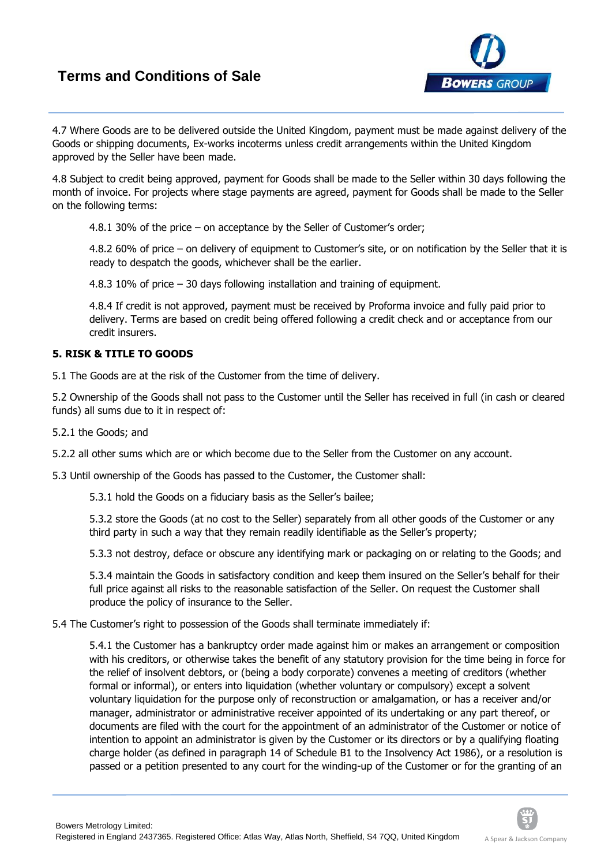# **Terms and Conditions of Sale**



4.7 Where Goods are to be delivered outside the United Kingdom, payment must be made against delivery of the Goods or shipping documents, Ex-works incoterms unless credit arrangements within the United Kingdom approved by the Seller have been made.

4.8 Subject to credit being approved, payment for Goods shall be made to the Seller within 30 days following the month of invoice. For projects where stage payments are agreed, payment for Goods shall be made to the Seller on the following terms:

4.8.1 30% of the price – on acceptance by the Seller of Customer's order;

4.8.2 60% of price – on delivery of equipment to Customer's site, or on notification by the Seller that it is ready to despatch the goods, whichever shall be the earlier.

4.8.3 10% of price – 30 days following installation and training of equipment.

4.8.4 If credit is not approved, payment must be received by Proforma invoice and fully paid prior to delivery. Terms are based on credit being offered following a credit check and or acceptance from our credit insurers.

## **5. RISK & TITLE TO GOODS**

5.1 The Goods are at the risk of the Customer from the time of delivery.

5.2 Ownership of the Goods shall not pass to the Customer until the Seller has received in full (in cash or cleared funds) all sums due to it in respect of:

5.2.1 the Goods; and

5.2.2 all other sums which are or which become due to the Seller from the Customer on any account.

5.3 Until ownership of the Goods has passed to the Customer, the Customer shall:

5.3.1 hold the Goods on a fiduciary basis as the Seller's bailee;

5.3.2 store the Goods (at no cost to the Seller) separately from all other goods of the Customer or any third party in such a way that they remain readily identifiable as the Seller's property;

5.3.3 not destroy, deface or obscure any identifying mark or packaging on or relating to the Goods; and

5.3.4 maintain the Goods in satisfactory condition and keep them insured on the Seller's behalf for their full price against all risks to the reasonable satisfaction of the Seller. On request the Customer shall produce the policy of insurance to the Seller.

5.4 The Customer's right to possession of the Goods shall terminate immediately if:

5.4.1 the Customer has a bankruptcy order made against him or makes an arrangement or composition with his creditors, or otherwise takes the benefit of any statutory provision for the time being in force for the relief of insolvent debtors, or (being a body corporate) convenes a meeting of creditors (whether formal or informal), or enters into liquidation (whether voluntary or compulsory) except a solvent voluntary liquidation for the purpose only of reconstruction or amalgamation, or has a receiver and/or manager, administrator or administrative receiver appointed of its undertaking or any part thereof, or documents are filed with the court for the appointment of an administrator of the Customer or notice of intention to appoint an administrator is given by the Customer or its directors or by a qualifying floating charge holder (as defined in paragraph 14 of Schedule B1 to the Insolvency Act 1986), or a resolution is passed or a petition presented to any court for the winding-up of the Customer or for the granting of an

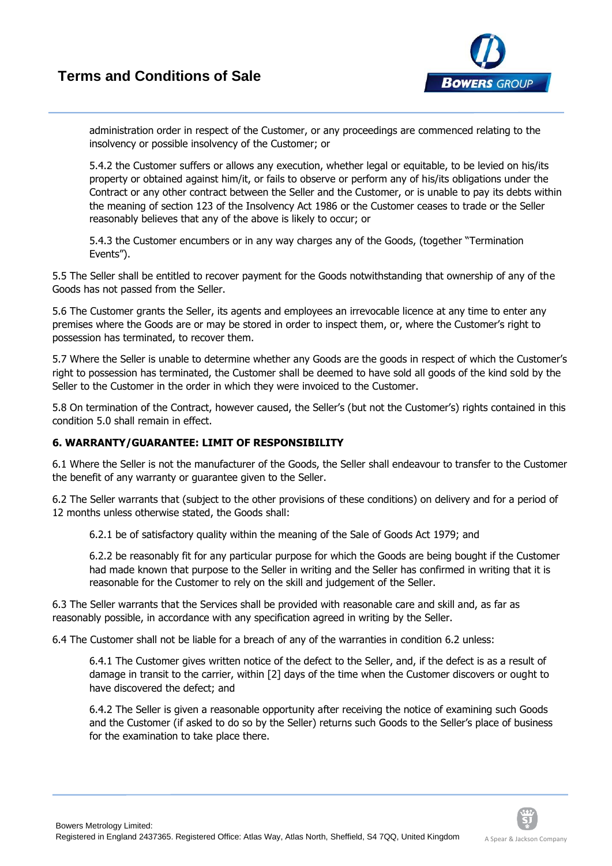

administration order in respect of the Customer, or any proceedings are commenced relating to the insolvency or possible insolvency of the Customer; or

5.4.2 the Customer suffers or allows any execution, whether legal or equitable, to be levied on his/its property or obtained against him/it, or fails to observe or perform any of his/its obligations under the Contract or any other contract between the Seller and the Customer, or is unable to pay its debts within the meaning of section 123 of the Insolvency Act 1986 or the Customer ceases to trade or the Seller reasonably believes that any of the above is likely to occur; or

5.4.3 the Customer encumbers or in any way charges any of the Goods, (together "Termination Events").

5.5 The Seller shall be entitled to recover payment for the Goods notwithstanding that ownership of any of the Goods has not passed from the Seller.

5.6 The Customer grants the Seller, its agents and employees an irrevocable licence at any time to enter any premises where the Goods are or may be stored in order to inspect them, or, where the Customer's right to possession has terminated, to recover them.

5.7 Where the Seller is unable to determine whether any Goods are the goods in respect of which the Customer's right to possession has terminated, the Customer shall be deemed to have sold all goods of the kind sold by the Seller to the Customer in the order in which they were invoiced to the Customer.

5.8 On termination of the Contract, however caused, the Seller's (but not the Customer's) rights contained in this condition 5.0 shall remain in effect.

# **6. WARRANTY/GUARANTEE: LIMIT OF RESPONSIBILITY**

6.1 Where the Seller is not the manufacturer of the Goods, the Seller shall endeavour to transfer to the Customer the benefit of any warranty or guarantee given to the Seller.

6.2 The Seller warrants that (subject to the other provisions of these conditions) on delivery and for a period of 12 months unless otherwise stated, the Goods shall:

6.2.1 be of satisfactory quality within the meaning of the Sale of Goods Act 1979; and

6.2.2 be reasonably fit for any particular purpose for which the Goods are being bought if the Customer had made known that purpose to the Seller in writing and the Seller has confirmed in writing that it is reasonable for the Customer to rely on the skill and judgement of the Seller.

6.3 The Seller warrants that the Services shall be provided with reasonable care and skill and, as far as reasonably possible, in accordance with any specification agreed in writing by the Seller.

6.4 The Customer shall not be liable for a breach of any of the warranties in condition 6.2 unless:

6.4.1 The Customer gives written notice of the defect to the Seller, and, if the defect is as a result of damage in transit to the carrier, within [2] days of the time when the Customer discovers or ought to have discovered the defect; and

6.4.2 The Seller is given a reasonable opportunity after receiving the notice of examining such Goods and the Customer (if asked to do so by the Seller) returns such Goods to the Seller's place of business for the examination to take place there.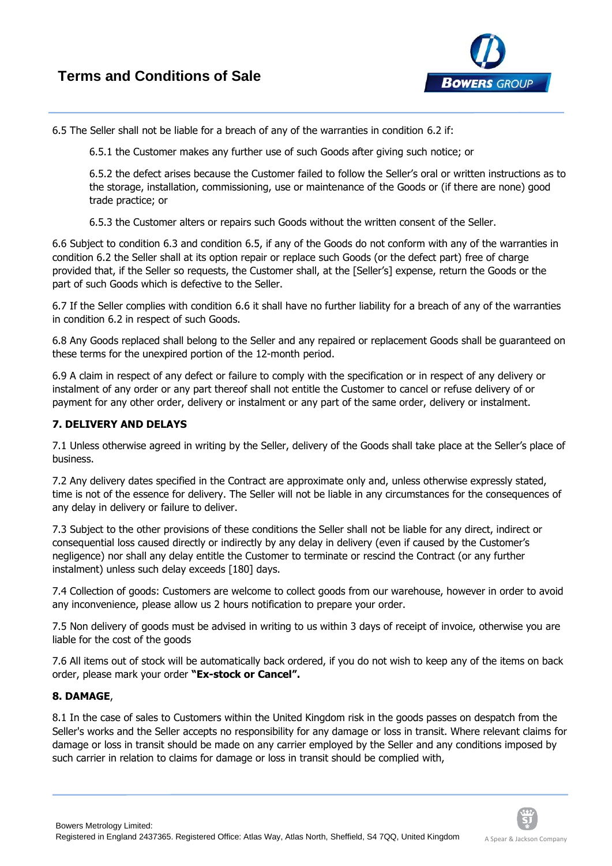

6.5 The Seller shall not be liable for a breach of any of the warranties in condition 6.2 if:

6.5.1 the Customer makes any further use of such Goods after giving such notice; or

6.5.2 the defect arises because the Customer failed to follow the Seller's oral or written instructions as to the storage, installation, commissioning, use or maintenance of the Goods or (if there are none) good trade practice; or

6.5.3 the Customer alters or repairs such Goods without the written consent of the Seller.

6.6 Subject to condition 6.3 and condition 6.5, if any of the Goods do not conform with any of the warranties in condition 6.2 the Seller shall at its option repair or replace such Goods (or the defect part) free of charge provided that, if the Seller so requests, the Customer shall, at the [Seller's] expense, return the Goods or the part of such Goods which is defective to the Seller.

6.7 If the Seller complies with condition 6.6 it shall have no further liability for a breach of any of the warranties in condition 6.2 in respect of such Goods.

6.8 Any Goods replaced shall belong to the Seller and any repaired or replacement Goods shall be guaranteed on these terms for the unexpired portion of the 12-month period.

6.9 A claim in respect of any defect or failure to comply with the specification or in respect of any delivery or instalment of any order or any part thereof shall not entitle the Customer to cancel or refuse delivery of or payment for any other order, delivery or instalment or any part of the same order, delivery or instalment.

# **7. DELIVERY AND DELAYS**

7.1 Unless otherwise agreed in writing by the Seller, delivery of the Goods shall take place at the Seller's place of business.

7.2 Any delivery dates specified in the Contract are approximate only and, unless otherwise expressly stated, time is not of the essence for delivery. The Seller will not be liable in any circumstances for the consequences of any delay in delivery or failure to deliver.

7.3 Subject to the other provisions of these conditions the Seller shall not be liable for any direct, indirect or consequential loss caused directly or indirectly by any delay in delivery (even if caused by the Customer's negligence) nor shall any delay entitle the Customer to terminate or rescind the Contract (or any further instalment) unless such delay exceeds [180] days.

7.4 Collection of goods: Customers are welcome to collect goods from our warehouse, however in order to avoid any inconvenience, please allow us 2 hours notification to prepare your order.

7.5 Non delivery of goods must be advised in writing to us within 3 days of receipt of invoice, otherwise you are liable for the cost of the goods

7.6 All items out of stock will be automatically back ordered, if you do not wish to keep any of the items on back order, please mark your order **"Ex‐stock or Cancel".**

## **8. DAMAGE**,

8.1 In the case of sales to Customers within the United Kingdom risk in the goods passes on despatch from the Seller's works and the Seller accepts no responsibility for any damage or loss in transit. Where relevant claims for damage or loss in transit should be made on any carrier employed by the Seller and any conditions imposed by such carrier in relation to claims for damage or loss in transit should be complied with,

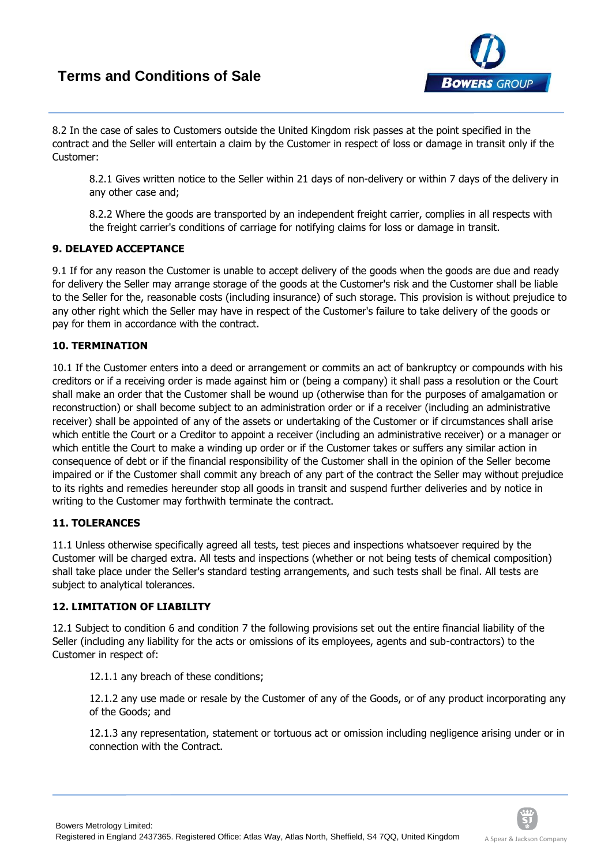# **Terms and Conditions of Sale**



8.2 In the case of sales to Customers outside the United Kingdom risk passes at the point specified in the contract and the Seller will entertain a claim by the Customer in respect of loss or damage in transit only if the Customer:

8.2.1 Gives written notice to the Seller within 21 days of non-delivery or within 7 days of the delivery in any other case and;

8.2.2 Where the goods are transported by an independent freight carrier, complies in all respects with the freight carrier's conditions of carriage for notifying claims for loss or damage in transit.

### **9. DELAYED ACCEPTANCE**

9.1 If for any reason the Customer is unable to accept delivery of the goods when the goods are due and ready for delivery the Seller may arrange storage of the goods at the Customer's risk and the Customer shall be liable to the Seller for the, reasonable costs (including insurance) of such storage. This provision is without prejudice to any other right which the Seller may have in respect of the Customer's failure to take delivery of the goods or pay for them in accordance with the contract.

### **10. TERMINATION**

10.1 If the Customer enters into a deed or arrangement or commits an act of bankruptcy or compounds with his creditors or if a receiving order is made against him or (being a company) it shall pass a resolution or the Court shall make an order that the Customer shall be wound up (otherwise than for the purposes of amalgamation or reconstruction) or shall become subject to an administration order or if a receiver (including an administrative receiver) shall be appointed of any of the assets or undertaking of the Customer or if circumstances shall arise which entitle the Court or a Creditor to appoint a receiver (including an administrative receiver) or a manager or which entitle the Court to make a winding up order or if the Customer takes or suffers any similar action in consequence of debt or if the financial responsibility of the Customer shall in the opinion of the Seller become impaired or if the Customer shall commit any breach of any part of the contract the Seller may without prejudice to its rights and remedies hereunder stop all goods in transit and suspend further deliveries and by notice in writing to the Customer may forthwith terminate the contract.

#### **11. TOLERANCES**

11.1 Unless otherwise specifically agreed all tests, test pieces and inspections whatsoever required by the Customer will be charged extra. All tests and inspections (whether or not being tests of chemical composition) shall take place under the Seller's standard testing arrangements, and such tests shall be final. All tests are subject to analytical tolerances.

## **12. LIMITATION OF LIABILITY**

12.1 Subject to condition 6 and condition 7 the following provisions set out the entire financial liability of the Seller (including any liability for the acts or omissions of its employees, agents and sub-contractors) to the Customer in respect of:

12.1.1 any breach of these conditions;

12.1.2 any use made or resale by the Customer of any of the Goods, or of any product incorporating any of the Goods; and

12.1.3 any representation, statement or tortuous act or omission including negligence arising under or in connection with the Contract.

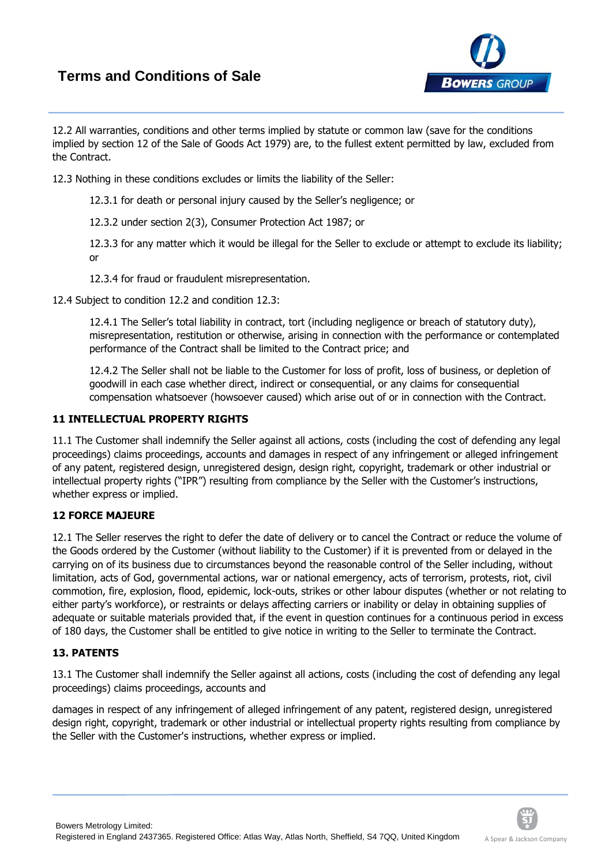# **Terms and Conditions of Sale**



12.2 All warranties, conditions and other terms implied by statute or common law (save for the conditions implied by section 12 of the Sale of Goods Act 1979) are, to the fullest extent permitted by law, excluded from the Contract.

12.3 Nothing in these conditions excludes or limits the liability of the Seller:

12.3.1 for death or personal injury caused by the Seller's negligence; or

12.3.2 under section 2(3), Consumer Protection Act 1987; or

12.3.3 for any matter which it would be illegal for the Seller to exclude or attempt to exclude its liability; or

12.3.4 for fraud or fraudulent misrepresentation.

12.4 Subject to condition 12.2 and condition 12.3:

12.4.1 The Seller's total liability in contract, tort (including negligence or breach of statutory duty), misrepresentation, restitution or otherwise, arising in connection with the performance or contemplated performance of the Contract shall be limited to the Contract price; and

12.4.2 The Seller shall not be liable to the Customer for loss of profit, loss of business, or depletion of goodwill in each case whether direct, indirect or consequential, or any claims for consequential compensation whatsoever (howsoever caused) which arise out of or in connection with the Contract.

## **11 INTELLECTUAL PROPERTY RIGHTS**

11.1 The Customer shall indemnify the Seller against all actions, costs (including the cost of defending any legal proceedings) claims proceedings, accounts and damages in respect of any infringement or alleged infringement of any patent, registered design, unregistered design, design right, copyright, trademark or other industrial or intellectual property rights ("IPR") resulting from compliance by the Seller with the Customer's instructions, whether express or implied.

## **12 FORCE MAJEURE**

12.1 The Seller reserves the right to defer the date of delivery or to cancel the Contract or reduce the volume of the Goods ordered by the Customer (without liability to the Customer) if it is prevented from or delayed in the carrying on of its business due to circumstances beyond the reasonable control of the Seller including, without limitation, acts of God, governmental actions, war or national emergency, acts of terrorism, protests, riot, civil commotion, fire, explosion, flood, epidemic, lock-outs, strikes or other labour disputes (whether or not relating to either party's workforce), or restraints or delays affecting carriers or inability or delay in obtaining supplies of adequate or suitable materials provided that, if the event in question continues for a continuous period in excess of 180 days, the Customer shall be entitled to give notice in writing to the Seller to terminate the Contract.

## **13. PATENTS**

13.1 The Customer shall indemnify the Seller against all actions, costs (including the cost of defending any legal proceedings) claims proceedings, accounts and

damages in respect of any infringement of alleged infringement of any patent, registered design, unregistered design right, copyright, trademark or other industrial or intellectual property rights resulting from compliance by the Seller with the Customer's instructions, whether express or implied.

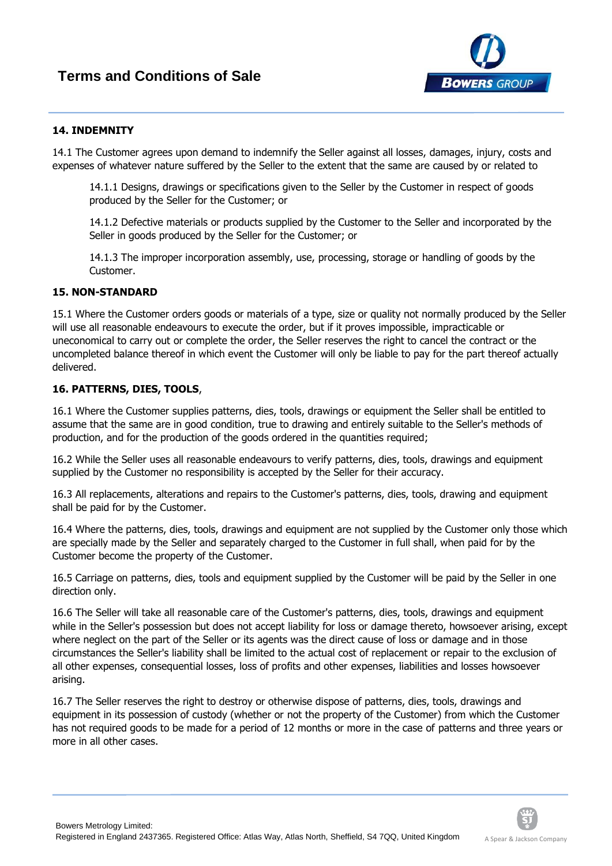

### **14. INDEMNITY**

14.1 The Customer agrees upon demand to indemnify the Seller against all losses, damages, injury, costs and expenses of whatever nature suffered by the Seller to the extent that the same are caused by or related to

14.1.1 Designs, drawings or specifications given to the Seller by the Customer in respect of goods produced by the Seller for the Customer; or

14.1.2 Defective materials or products supplied by the Customer to the Seller and incorporated by the Seller in goods produced by the Seller for the Customer; or

14.1.3 The improper incorporation assembly, use, processing, storage or handling of goods by the Customer.

### **15. NON‐STANDARD**

15.1 Where the Customer orders goods or materials of a type, size or quality not normally produced by the Seller will use all reasonable endeavours to execute the order, but if it proves impossible, impracticable or uneconomical to carry out or complete the order, the Seller reserves the right to cancel the contract or the uncompleted balance thereof in which event the Customer will only be liable to pay for the part thereof actually delivered.

### **16. PATTERNS, DIES, TOOLS**,

16.1 Where the Customer supplies patterns, dies, tools, drawings or equipment the Seller shall be entitled to assume that the same are in good condition, true to drawing and entirely suitable to the Seller's methods of production, and for the production of the goods ordered in the quantities required;

16.2 While the Seller uses all reasonable endeavours to verify patterns, dies, tools, drawings and equipment supplied by the Customer no responsibility is accepted by the Seller for their accuracy.

16.3 All replacements, alterations and repairs to the Customer's patterns, dies, tools, drawing and equipment shall be paid for by the Customer.

16.4 Where the patterns, dies, tools, drawings and equipment are not supplied by the Customer only those which are specially made by the Seller and separately charged to the Customer in full shall, when paid for by the Customer become the property of the Customer.

16.5 Carriage on patterns, dies, tools and equipment supplied by the Customer will be paid by the Seller in one direction only.

16.6 The Seller will take all reasonable care of the Customer's patterns, dies, tools, drawings and equipment while in the Seller's possession but does not accept liability for loss or damage thereto, howsoever arising, except where neglect on the part of the Seller or its agents was the direct cause of loss or damage and in those circumstances the Seller's liability shall be limited to the actual cost of replacement or repair to the exclusion of all other expenses, consequential losses, loss of profits and other expenses, liabilities and losses howsoever arising.

16.7 The Seller reserves the right to destroy or otherwise dispose of patterns, dies, tools, drawings and equipment in its possession of custody (whether or not the property of the Customer) from which the Customer has not required goods to be made for a period of 12 months or more in the case of patterns and three years or more in all other cases.